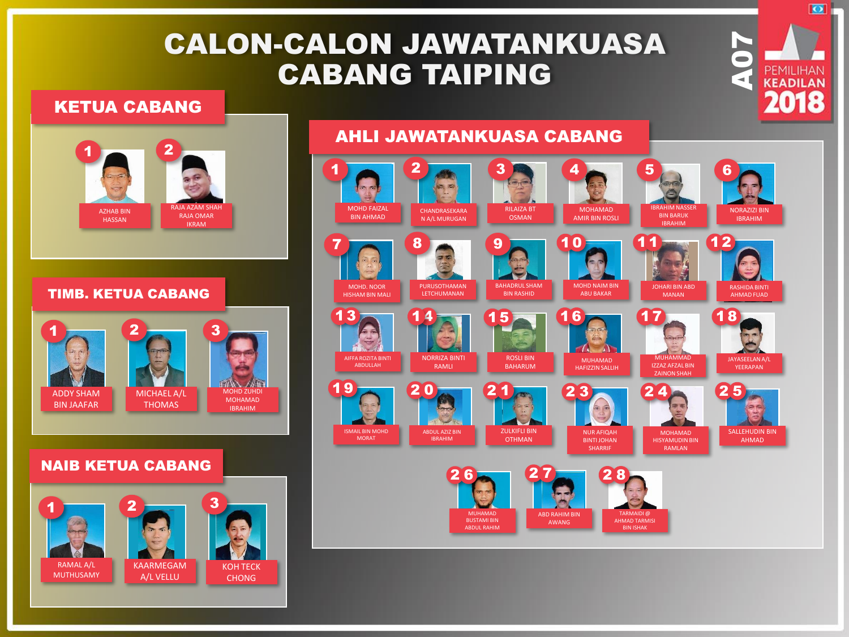## CALON-CALON JAWATANKUASA CABANG TAIPING

#### KETUA CABANG



#### TIMB. KETUA CABANG



#### NAIB KETUA CABANG



### AHLI JAWATANKUASA CABANG



**A07** 

 $\overline{\bullet}$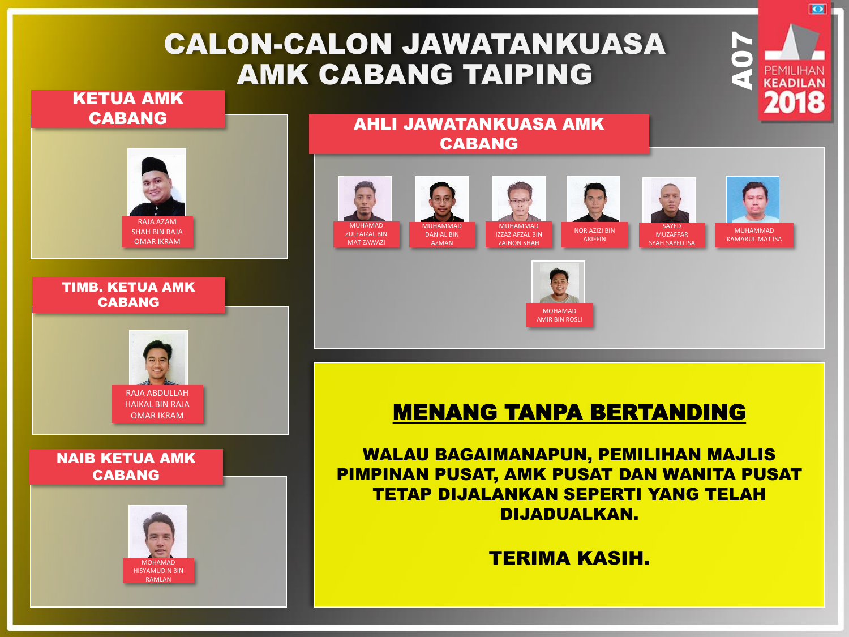# CALON-CALON JAWATANKUASA AMK CABANG TAIPING

#### KETUA AMK CABANG



#### TIMB. KETUA AMK CABANG



#### NAIB KETUA AMK CABANG



#### AHLI JAWATANKUASA AMK CABANG

















**A07** 

ञ

## MENANG TANPA BERTANDING

WALAU BAGAIMANAPUN, PEMILIHAN MAJLIS PIMPINAN PUSAT, AMK PUSAT DAN WANITA PUSAT TETAP DIJALANKAN SEPERTI YANG TELAH DIJADUALKAN.

TERIMA KASIH.